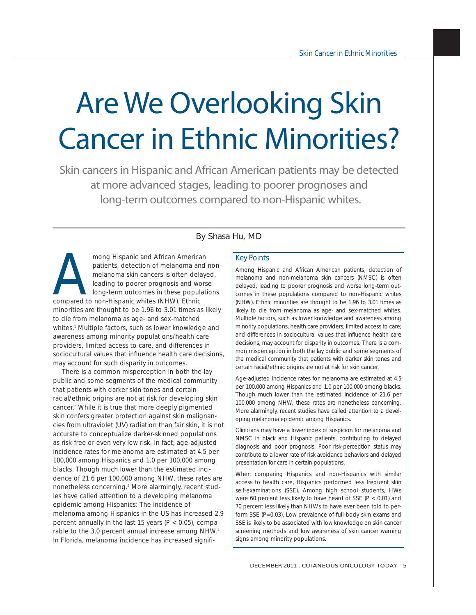# Are We Overlooking Skin Cancer in Ethnic Minorities?

Skin cancers in Hispanic and African American patients may be detected at more advanced stages, leading to poorer prognoses and long-term outcomes compared to non-Hispanic whites.

## By Shasa Hu, MD

mong Hispanic and African American<br>patients, detection of melanoma and<br>melanoma skin cancers is often delay<br>leading to poorer prognosis and wors<br>compared to non-Hispanic whites (NHW). Ethnic patients, detection of melanoma and nonmelanoma skin cancers is often delayed, leading to poorer prognosis and worse long-term outcomes in these populations compared to non-Hispanic whites (NHW). Ethnic minorities are thought to be 1.96 to 3.01 times as likely to die from melanoma as age- and sex-matched whites.<sup>1</sup> Multiple factors, such as lower knowledge and awareness among minority populations/health care providers, limited access to care, and differences in sociocultural values that influence health care decisions, may account for such disparity in outcomes.

There is a common misperception in both the lay public and some segments of the medical community that patients with darker skin tones and certain racial/ethnic origins are not at risk for developing skin cancer.2 While it is true that more deeply pigmented skin confers greater protection against skin malignancies from ultraviolet (UV) radiation than fair skin, it is not accurate to conceptualize darker-skinned populations as risk-free or even very low risk. In fact, age-adjusted incidence rates for melanoma are estimated at 4.5 per 100,000 among Hispanics and 1.0 per 100,000 among blacks. Though much lower than the estimated incidence of 21.6 per 100,000 among NHW, these rates are nonetheless concerning.3 More alarmingly, recent studies have called attention to a developing melanoma epidemic among Hispanics: The incidence of melanoma among Hispanics in the US has increased 2.9 percent annually in the last 15 years ( $P < 0.05$ ), comparable to the 3.0 percent annual increase among NHW.<sup>4</sup> In Florida, melanoma incidence has increased signifi-

## Key Points

Among Hispanic and African American patients, detection of melanoma and non-melanoma skin cancers (NMSC) is often delayed, leading to poorer prognosis and worse long-term outcomes in these populations compared to non-Hispanic whites (NHW). Ethnic minorities are thought to be 1.96 to 3.01 times as likely to die from melanoma as age- and sex-matched whites. Multiple factors, such as lower knowledge and awareness among minority populations, health care providers; limited access to care; and differences in sociocultural values that influence health care decisions, may account for disparity in outcomes. There is a common misperception in both the lay public and some segments of the medical community that patients with darker skin tones and certain racial/ethnic origins are not at risk for skin cancer.

Age-adjusted incidence rates for melanoma are estimated at 4.5 per 100,000 among Hispanics and 1.0 per 100,000 among blacks. Though much lower than the estimated incidence of 21.6 per 100,000 among NHW, these rates are nonetheless concerning. More alarmingly, recent studies have called attention to a developing melanoma epidemic among Hispanics.

Clinicians may have a lower index of suspicion for melanoma and NMSC in black and Hispanic patients, contributing to delayed diagnosis and poor prognosis. Poor risk-perception status may contribute to a lower rate of risk avoidance behaviors and delayed presentation for care in certain populations.

When comparing Hispanics and non-Hispanics with similar access to health care, Hispanics performed less frequent skin self-examinations (SSE). Among high school students, HWs were 60 percent less likely to have heard of SSE (P < 0.01) and 70 percent less likely than NHWs to have ever been told to perform SSE (P=0.03). Low prevalence of full-body skin exams and SSE is likely to be associated with low knowledge on skin cancer screening methods and low awareness of skin cancer warning signs among minority populations.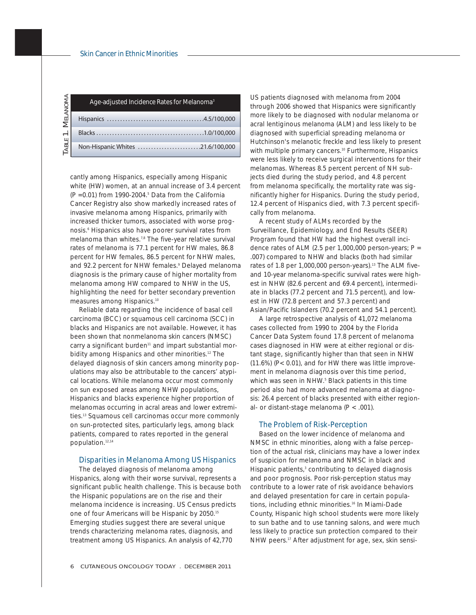| Melanoma | Age-adjusted Incidence Rates for Melanoma <sup>3</sup> |
|----------|--------------------------------------------------------|
|          |                                                        |
| $\div$   |                                                        |
| TABLE    | Non-Hispanic Whites 21.6/100,000                       |

cantly among Hispanics, especially among Hispanic white (HW) women, at an annual increase of 3.4 percent  $(P = 0.01)$  from 1990-2004.<sup>5</sup> Data from the California Cancer Registry also show markedly increased rates of invasive melanoma among Hispanics, primarily with increased thicker tumors, associated with worse prognosis.6 Hispanics also have poorer survival rates from melanoma than whites.<sup>7,8</sup> The five-year relative survival rates of melanoma is 77.1 percent for HW males, 86.8 percent for HW females, 86.5 percent for NHW males, and 92.2 percent for NHW females.<sup>9</sup> Delayed melanoma diagnosis is the primary cause of higher mortality from melanoma among HW compared to NHW in the US, highlighting the need for better secondary prevention measures among Hispanics.<sup>10</sup>

Reliable data regarding the incidence of basal cell carcinoma (BCC) or squamous cell carcinoma (SCC) in blacks and Hispanics are not available. However, it has been shown that nonmelanoma skin cancers (NMSC) carry a significant burden<sup>11</sup> and impart substantial morbidity among Hispanics and other minorities.<sup>12</sup> The delayed diagnosis of skin cancers among minority populations may also be attributable to the cancers' atypical locations. While melanoma occur most commonly on sun exposed areas among NHW populations, Hispanics and blacks experience higher proportion of melanomas occurring in acral areas and lower extremities.13 Squamous cell carcinomas occur more commonly on sun-protected sites, particularly legs, among black patients, compared to rates reported in the general population.12,14

#### Disparities in Melanoma Among US Hispanics

The delayed diagnosis of melanoma among Hispanics, along with their worse survival, represents a significant public health challenge. This is because both the Hispanic populations are on the rise and their melanoma incidence is increasing. US Census predicts one of four Americans will be Hispanic by 2050.<sup>15</sup> Emerging studies suggest there are several unique trends characterizing melanoma rates, diagnosis, and treatment among US Hispanics. An analysis of 42,770

US patients diagnosed with melanoma from 2004 through 2006 showed that Hispanics were significantly more likely to be diagnosed with nodular melanoma or acral lentiginous melanoma (ALM) and less likely to be diagnosed with superficial spreading melanoma or Hutchinson's melanotic freckle and less likely to present with multiple primary cancers.<sup>10</sup> Furthermore, Hispanics were less likely to receive surgical interventions for their melanomas. Whereas 8.5 percent percent of NH subjects died during the study period, and 4.8 percent from melanoma specifically, the mortality rate was significantly higher for Hispanics. During the study period, 12.4 percent of Hispanics died, with 7.3 percent specifically from melanoma.

A recent study of ALMs recorded by the Surveillance, Epidemiology, and End Results (SEER) Program found that HW had the highest overall incidence rates of ALM (2.5 per 1,000,000 person-years;  $P =$ .007) compared to NHW and blacks (both had similar rates of 1.8 per 1,000,000 person-years).<sup>13</sup> The ALM fiveand 10-year melanoma-specific survival rates were highest in NHW (82.6 percent and 69.4 percent), intermediate in blacks (77.2 percent and 71.5 percent), and lowest in HW (72.8 percent and 57.3 percent) and Asian/Pacific Islanders (70.2 percent and 54.1 percent).

A large retrospective analysis of 41,072 melanoma cases collected from 1990 to 2004 by the Florida Cancer Data System found 17.8 percent of melanoma cases diagnosed in HW were at either regional or distant stage, significantly higher than that seen in NHW (11.6%) (P< 0.01), and for HW there was little improvement in melanoma diagnosis over this time period, which was seen in NHW.<sup>5</sup> Black patients in this time period also had more advanced melanoma at diagnosis: 26.4 percent of blacks presented with either regional- or distant-stage melanoma (P < .001).

#### The Problem of Risk-Perception

Based on the lower incidence of melanoma and NMSC in ethnic minorities, along with a false perception of the actual risk, clinicians may have a lower index of suspicion for melanoma and NMSC in black and Hispanic patients,<sup>3</sup> contributing to delayed diagnosis and poor prognosis. Poor risk-perception status may contribute to a lower rate of risk avoidance behaviors and delayed presentation for care in certain populations, including ethnic minorities.<sup>16</sup> In Miami-Dade County, Hispanic high school students were more likely to sun bathe and to use tanning salons, and were much less likely to practice sun protection compared to their NHW peers.<sup>17</sup> After adjustment for age, sex, skin sensi-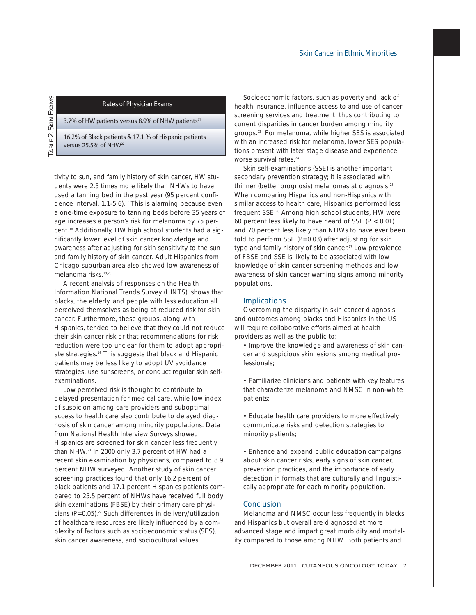### Rates of Physician Exams

3.7% of HW patients versus 8.9% of NHW patients $^{21}$ 

TABLE 2. SKIN EXAMS

TABLE<sub>2</sub>

**SKIN EXAMS** 

16.2% of Black patients & 17.1 % of Hispanic patients versus 25.5% of NHW<sup>22</sup>

tivity to sun, and family history of skin cancer, HW students were 2.5 times more likely than NHWs to have used a tanning bed in the past year (95 percent confidence interval, 1.1-5.6).<sup>17</sup> This is alarming because even a one-time exposure to tanning beds before 35 years of age increases a person's risk for melanoma by 75 percent.18 Additionally, HW high school students had a significantly lower level of skin cancer knowledge and awareness after adjusting for skin sensitivity to the sun and family history of skin cancer. Adult Hispanics from Chicago suburban area also showed low awareness of melanoma risks.19,20

A recent analysis of responses on the Health Information National Trends Survey (HINTS), shows that blacks, the elderly, and people with less education all perceived themselves as being at reduced risk for skin cancer. Furthermore, these groups, along with Hispanics, tended to believe that they could not reduce their skin cancer risk or that recommendations for risk reduction were too unclear for them to adopt appropriate strategies.16 This suggests that black and Hispanic patients may be less likely to adopt UV avoidance strategies, use sunscreens, or conduct regular skin selfexaminations.

Low perceived risk is thought to contribute to delayed presentation for medical care, while low index of suspicion among care providers and suboptimal access to health care also contribute to delayed diagnosis of skin cancer among minority populations. Data from National Health Interview Surveys showed Hispanics are screened for skin cancer less frequently than NHW.21 In 2000 only 3.7 percent of HW had a recent skin examination by physicians, compared to 8.9 percent NHW surveyed. Another study of skin cancer screening practices found that only 16.2 percent of black patients and 17.1 percent Hispanics patients compared to 25.5 percent of NHWs have received full body skin examinations (FBSE) by their primary care physicians ( $P=0.05$ ).<sup>22</sup> Such differences in delivery/utilization of healthcare resources are likely influenced by a complexity of factors such as socioeconomic status (SES), skin cancer awareness, and sociocultural values.

Socioeconomic factors, such as poverty and lack of health insurance, influence access to and use of cancer screening services and treatment, thus contributing to current disparities in cancer burden among minority groups.23 For melanoma, while higher SES is associated with an increased risk for melanoma, lower SES populations present with later stage disease and experience worse survival rates.<sup>24</sup>

Skin self-examinations (SSE) is another important secondary prevention strategy; it is associated with thinner (better prognosis) melanomas at diagnosis.25 When comparing Hispanics and non-Hispanics with similar access to health care, Hispanics performed less frequent SSE.<sup>20</sup> Among high school students, HW were 60 percent less likely to have heard of SSE (P < 0.01) and 70 percent less likely than NHWs to have ever been told to perform SSE (P=0.03) after adjusting for skin type and family history of skin cancer.<sup>17</sup> Low prevalence of FBSE and SSE is likely to be associated with low knowledge of skin cancer screening methods and low awareness of skin cancer warning signs among minority populations.

#### Implications

Overcoming the disparity in skin cancer diagnosis and outcomes among blacks and Hispanics in the US will require collaborative efforts aimed at health providers as well as the public to:

• Improve the knowledge and awareness of skin cancer and suspicious skin lesions among medical professionals;

• Familiarize clinicians and patients with key features that characterize melanoma and NMSC in non-white patients;

• Educate health care providers to more effectively communicate risks and detection strategies to minority patients;

• Enhance and expand public education campaigns about skin cancer risks, early signs of skin cancer, prevention practices, and the importance of early detection in formats that are culturally and linguistically appropriate for each minority population.

#### **Conclusion**

Melanoma and NMSC occur less frequently in blacks and Hispanics but overall are diagnosed at more advanced stage and impart great morbidity and mortality compared to those among NHW. Both patients and